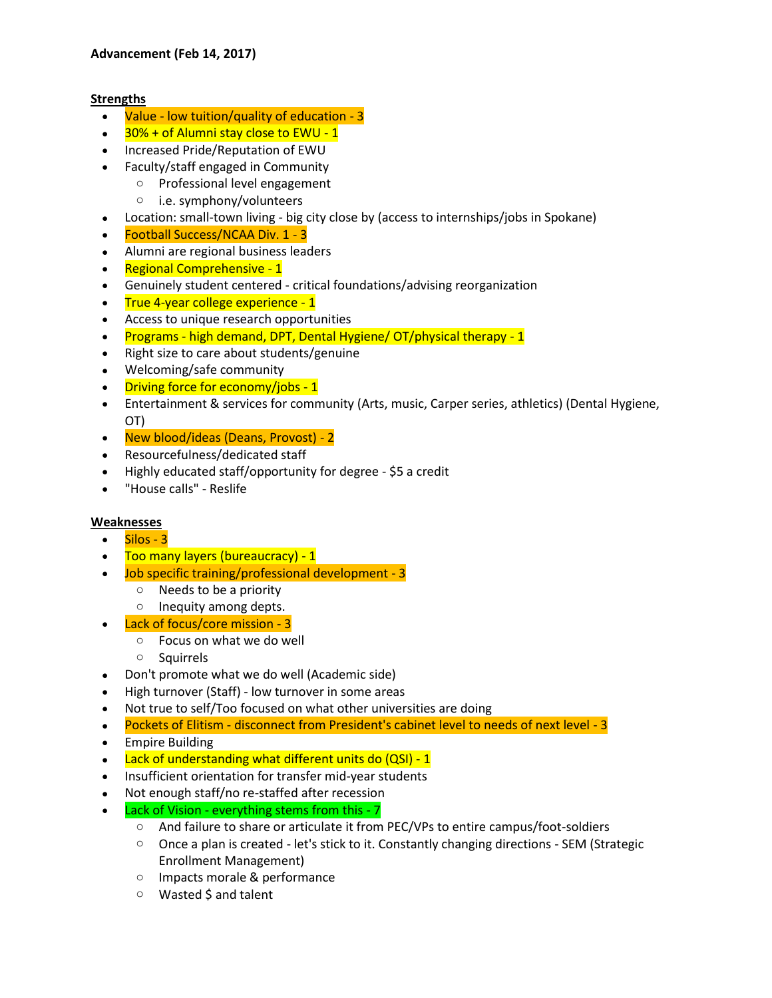# **Advancement (Feb 14, 2017)**

# **Strengths**

- Value low tuition/quality of education 3
- 30% + of Alumni stay close to EWU 1
- Increased Pride/Reputation of EWU
- Faculty/staff engaged in Community
	- o Professional level engagement
		- o i.e. symphony/volunteers
- Location: small-town living big city close by (access to internships/jobs in Spokane)
- Football Success/NCAA Div. 1 3
- Alumni are regional business leaders
- Regional Comprehensive 1
- Genuinely student centered critical foundations/advising reorganization
- True 4-year college experience 1
- Access to unique research opportunities
- Programs high demand, DPT, Dental Hygiene/ OT/physical therapy 1
- Right size to care about students/genuine
- Welcoming/safe community
- Driving force for economy/jobs 1
- Entertainment & services for community (Arts, music, Carper series, athletics) (Dental Hygiene, OT)
- New blood/ideas (Deans, Provost) 2
- Resourcefulness/dedicated staff
- Highly educated staff/opportunity for degree \$5 a credit
- "House calls" Reslife

# **Weaknesses**

- $\bullet$  Silos 3
- Too many layers (bureaucracy) 1
- Job specific training/professional development 3
	- o Needs to be a priority
	- o Inequity among depts.
- Lack of focus/core mission 3
	- o Focus on what we do well
	- o Squirrels
- Don't promote what we do well (Academic side)
- High turnover (Staff) low turnover in some areas
- Not true to self/Too focused on what other universities are doing
- Pockets of Elitism disconnect from President's cabinet level to needs of next level 3
- Empire Building
- Lack of understanding what different units do (QSI) 1
- Insufficient orientation for transfer mid-year students
- Not enough staff/no re-staffed after recession
- Lack of Vision everything stems from this 7
	- o And failure to share or articulate it from PEC/VPs to entire campus/foot-soldiers
	- o Once a plan is created let's stick to it. Constantly changing directions SEM (Strategic Enrollment Management)
	- o Impacts morale & performance
	- o Wasted \$ and talent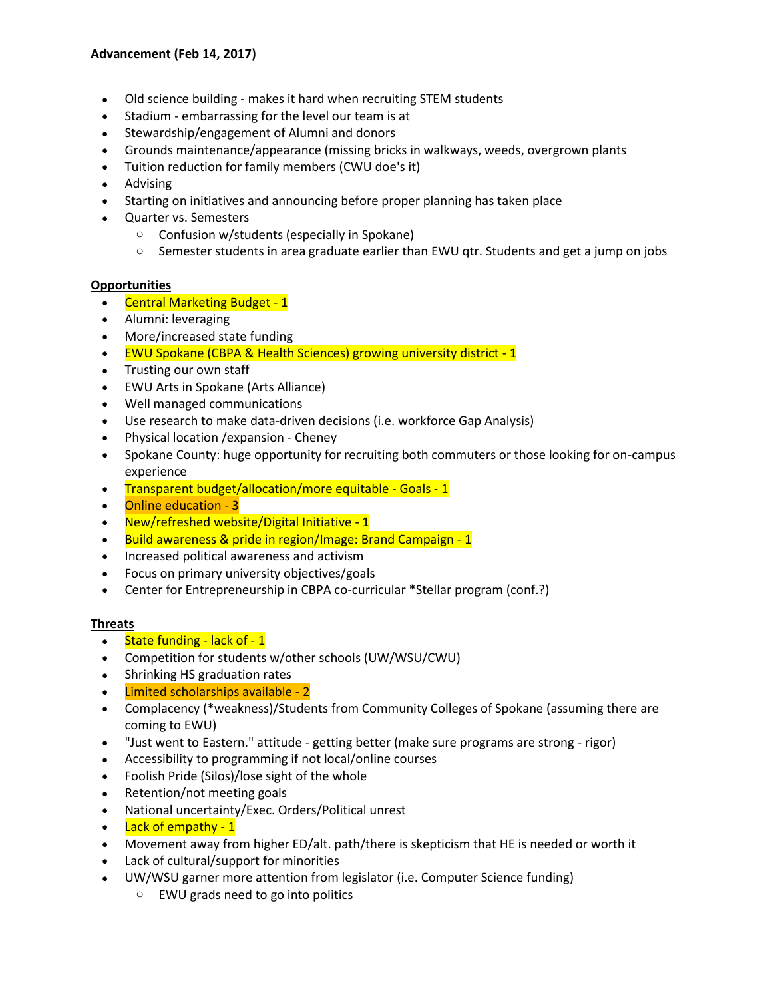- Old science building makes it hard when recruiting STEM students
- Stadium embarrassing for the level our team is at
- Stewardship/engagement of Alumni and donors
- Grounds maintenance/appearance (missing bricks in walkways, weeds, overgrown plants
- Tuition reduction for family members (CWU doe's it)
- Advising
- Starting on initiatives and announcing before proper planning has taken place
- Quarter vs. Semesters
	- o Confusion w/students (especially in Spokane)
	- $\circ$  Semester students in area graduate earlier than EWU qtr. Students and get a jump on jobs

# **Opportunities**

- Central Marketing Budget 1
- Alumni: leveraging
- More/increased state funding
- EWU Spokane (CBPA & Health Sciences) growing university district 1
- Trusting our own staff
- EWU Arts in Spokane (Arts Alliance)
- Well managed communications
- Use research to make data-driven decisions (i.e. workforce Gap Analysis)
- Physical location /expansion Cheney
- Spokane County: huge opportunity for recruiting both commuters or those looking for on-campus experience
- Transparent budget/allocation/more equitable Goals 1
- Online education 3
- New/refreshed website/Digital Initiative 1
- Build awareness & pride in region/Image: Brand Campaign 1
- Increased political awareness and activism
- Focus on primary university objectives/goals
- Center for Entrepreneurship in CBPA co-curricular \*Stellar program (conf.?)

# **Threats**

- $\bullet$  State funding lack of 1
- Competition for students w/other schools (UW/WSU/CWU)
- Shrinking HS graduation rates
- Limited scholarships available 2
- Complacency (\*weakness)/Students from Community Colleges of Spokane (assuming there are coming to EWU)
- "Just went to Eastern." attitude getting better (make sure programs are strong rigor)
- Accessibility to programming if not local/online courses
- Foolish Pride (Silos)/lose sight of the whole
- Retention/not meeting goals
- National uncertainty/Exec. Orders/Political unrest
- Lack of empathy 1
- Movement away from higher ED/alt. path/there is skepticism that HE is needed or worth it
- Lack of cultural/support for minorities
- UW/WSU garner more attention from legislator (i.e. Computer Science funding)
	- o EWU grads need to go into politics